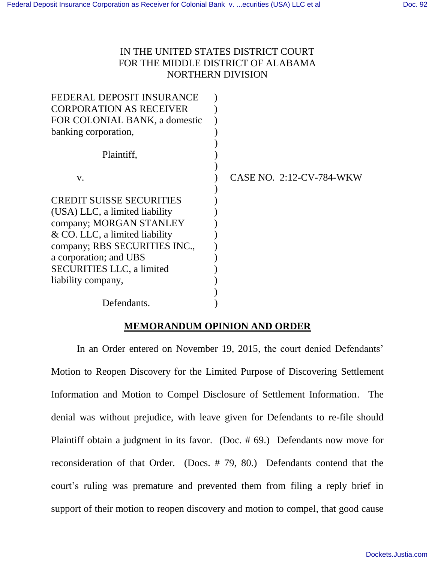# IN THE UNITED STATES DISTRICT COURT FOR THE MIDDLE DISTRICT OF ALABAMA NORTHERN DIVISION

| CASE NO. 2:12-CV-784-WKW |
|--------------------------|
|                          |
|                          |
|                          |
|                          |
|                          |
|                          |
|                          |
|                          |
|                          |
|                          |
|                          |
|                          |

## **MEMORANDUM OPINION AND ORDER**

In an Order entered on November 19, 2015, the court denied Defendants' Motion to Reopen Discovery for the Limited Purpose of Discovering Settlement Information and Motion to Compel Disclosure of Settlement Information. The denial was without prejudice, with leave given for Defendants to re-file should Plaintiff obtain a judgment in its favor. (Doc. # 69.) Defendants now move for reconsideration of that Order. (Docs. # 79, 80.) Defendants contend that the court's ruling was premature and prevented them from filing a reply brief in support of their motion to reopen discovery and motion to compel, that good cause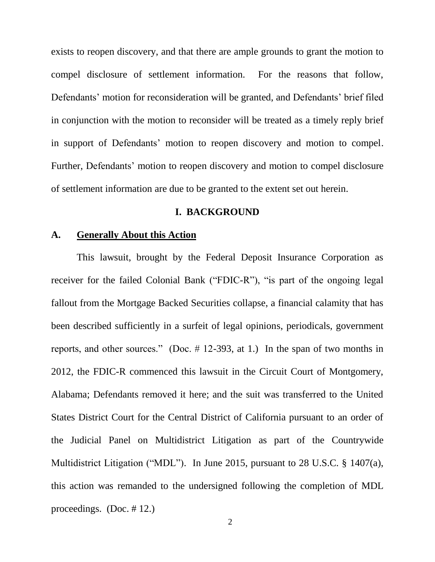exists to reopen discovery, and that there are ample grounds to grant the motion to compel disclosure of settlement information. For the reasons that follow, Defendants' motion for reconsideration will be granted, and Defendants' brief filed in conjunction with the motion to reconsider will be treated as a timely reply brief in support of Defendants' motion to reopen discovery and motion to compel. Further, Defendants' motion to reopen discovery and motion to compel disclosure of settlement information are due to be granted to the extent set out herein.

### **I. BACKGROUND**

# **A. Generally About this Action**

This lawsuit, brought by the Federal Deposit Insurance Corporation as receiver for the failed Colonial Bank ("FDIC-R"), "is part of the ongoing legal fallout from the Mortgage Backed Securities collapse, a financial calamity that has been described sufficiently in a surfeit of legal opinions, periodicals, government reports, and other sources." (Doc. # 12-393, at 1.) In the span of two months in 2012, the FDIC-R commenced this lawsuit in the Circuit Court of Montgomery, Alabama; Defendants removed it here; and the suit was transferred to the United States District Court for the Central District of California pursuant to an order of the Judicial Panel on Multidistrict Litigation as part of the Countrywide Multidistrict Litigation ("MDL"). In June 2015, pursuant to 28 U.S.C. § 1407(a), this action was remanded to the undersigned following the completion of MDL proceedings. (Doc. # 12.)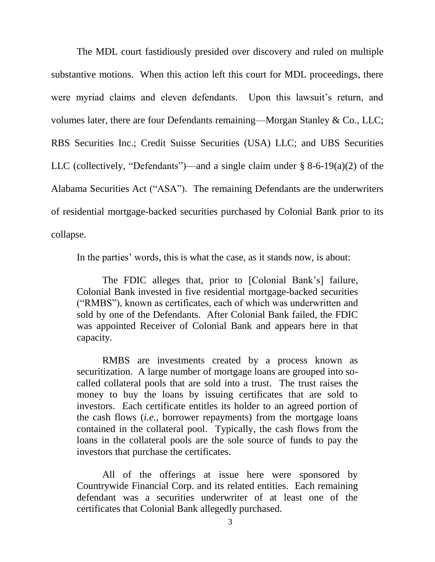The MDL court fastidiously presided over discovery and ruled on multiple substantive motions. When this action left this court for MDL proceedings, there were myriad claims and eleven defendants. Upon this lawsuit's return, and volumes later, there are four Defendants remaining—Morgan Stanley & Co., LLC; RBS Securities Inc.; Credit Suisse Securities (USA) LLC; and UBS Securities LLC (collectively, "Defendants")—and a single claim under  $\S$  8-6-19(a)(2) of the Alabama Securities Act ("ASA"). The remaining Defendants are the underwriters of residential mortgage-backed securities purchased by Colonial Bank prior to its collapse.

In the parties' words, this is what the case, as it stands now, is about:

The FDIC alleges that, prior to [Colonial Bank's] failure, Colonial Bank invested in five residential mortgage-backed securities ("RMBS"), known as certificates, each of which was underwritten and sold by one of the Defendants. After Colonial Bank failed, the FDIC was appointed Receiver of Colonial Bank and appears here in that capacity.

RMBS are investments created by a process known as securitization. A large number of mortgage loans are grouped into socalled collateral pools that are sold into a trust. The trust raises the money to buy the loans by issuing certificates that are sold to investors. Each certificate entitles its holder to an agreed portion of the cash flows (*i.e.*, borrower repayments) from the mortgage loans contained in the collateral pool. Typically, the cash flows from the loans in the collateral pools are the sole source of funds to pay the investors that purchase the certificates.

All of the offerings at issue here were sponsored by Countrywide Financial Corp. and its related entities. Each remaining defendant was a securities underwriter of at least one of the certificates that Colonial Bank allegedly purchased.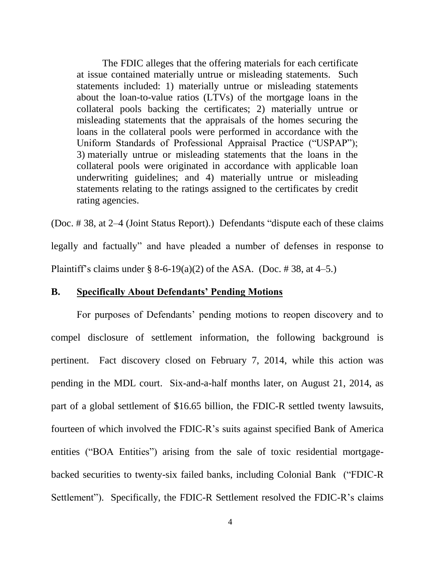The FDIC alleges that the offering materials for each certificate at issue contained materially untrue or misleading statements. Such statements included: 1) materially untrue or misleading statements about the loan-to-value ratios (LTVs) of the mortgage loans in the collateral pools backing the certificates; 2) materially untrue or misleading statements that the appraisals of the homes securing the loans in the collateral pools were performed in accordance with the Uniform Standards of Professional Appraisal Practice ("USPAP"); 3) materially untrue or misleading statements that the loans in the collateral pools were originated in accordance with applicable loan underwriting guidelines; and 4) materially untrue or misleading statements relating to the ratings assigned to the certificates by credit rating agencies.

(Doc. # 38, at 2–4 (Joint Status Report).) Defendants "dispute each of these claims legally and factually" and have pleaded a number of defenses in response to Plaintiff's claims under § 8-6-19(a)(2) of the ASA. (Doc. #38, at 4–5.)

## **B. Specifically About Defendants' Pending Motions**

For purposes of Defendants' pending motions to reopen discovery and to compel disclosure of settlement information, the following background is pertinent. Fact discovery closed on February 7, 2014, while this action was pending in the MDL court. Six-and-a-half months later, on August 21, 2014, as part of a global settlement of \$16.65 billion, the FDIC-R settled twenty lawsuits, fourteen of which involved the FDIC-R's suits against specified Bank of America entities ("BOA Entities") arising from the sale of toxic residential mortgagebacked securities to twenty-six failed banks, including Colonial Bank ("FDIC-R Settlement"). Specifically, the FDIC-R Settlement resolved the FDIC-R's claims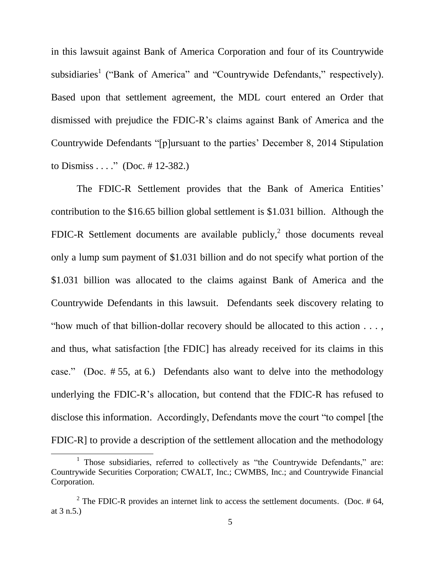in this lawsuit against Bank of America Corporation and four of its Countrywide subsidiaries<sup>1</sup> ("Bank of America" and "Countrywide Defendants," respectively). Based upon that settlement agreement, the MDL court entered an Order that dismissed with prejudice the FDIC-R's claims against Bank of America and the Countrywide Defendants "[p]ursuant to the parties' December 8, 2014 Stipulation to Dismiss . . . ." (Doc. # 12-382.)

The FDIC-R Settlement provides that the Bank of America Entities' contribution to the \$16.65 billion global settlement is \$1.031 billion. Although the FDIC-R Settlement documents are available publicly,<sup>2</sup> those documents reveal only a lump sum payment of \$1.031 billion and do not specify what portion of the \$1.031 billion was allocated to the claims against Bank of America and the Countrywide Defendants in this lawsuit. Defendants seek discovery relating to "how much of that billion-dollar recovery should be allocated to this action . . . , and thus, what satisfaction [the FDIC] has already received for its claims in this case." (Doc. # 55, at 6.) Defendants also want to delve into the methodology underlying the FDIC-R's allocation, but contend that the FDIC-R has refused to disclose this information. Accordingly, Defendants move the court "to compel [the FDIC-R] to provide a description of the settlement allocation and the methodology

 $\overline{a}$ 

<sup>&</sup>lt;sup>1</sup> Those subsidiaries, referred to collectively as "the Countrywide Defendants," are: Countrywide Securities Corporation; CWALT, Inc.; CWMBS, Inc.; and Countrywide Financial Corporation.

<sup>&</sup>lt;sup>2</sup> The FDIC-R provides an internet link to access the settlement documents. (Doc.  $#64$ , at 3 n.5.)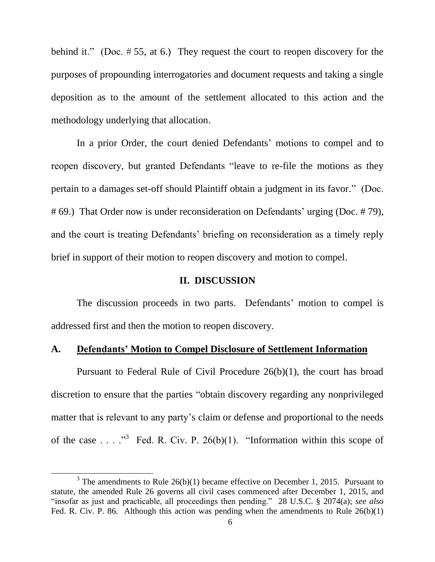behind it." (Doc. # 55, at 6.) They request the court to reopen discovery for the purposes of propounding interrogatories and document requests and taking a single deposition as to the amount of the settlement allocated to this action and the methodology underlying that allocation.

In a prior Order, the court denied Defendants' motions to compel and to reopen discovery, but granted Defendants "leave to re-file the motions as they pertain to a damages set-off should Plaintiff obtain a judgment in its favor." (Doc. # 69.) That Order now is under reconsideration on Defendants' urging (Doc. # 79), and the court is treating Defendants' briefing on reconsideration as a timely reply brief in support of their motion to reopen discovery and motion to compel.

#### **II. DISCUSSION**

The discussion proceeds in two parts. Defendants' motion to compel is addressed first and then the motion to reopen discovery.

### **A. Defendants' Motion to Compel Disclosure of Settlement Information**

Pursuant to Federal Rule of Civil Procedure 26(b)(1), the court has broad discretion to ensure that the parties "obtain discovery regarding any nonprivileged matter that is relevant to any party's claim or defense and proportional to the needs of the case . . . ."<sup>3</sup> Fed. R. Civ. P. 26(b)(1). "Information within this scope of

 $\overline{a}$ 

<sup>&</sup>lt;sup>3</sup> The amendments to Rule  $26(b)(1)$  became effective on December 1, 2015. Pursuant to statute, the amended Rule 26 governs all civil cases commenced after December 1, 2015, and "insofar as just and practicable, all proceedings then pending." 28 U.S.C. § 2074(a); *see also* Fed. R. Civ. P. 86. Although this action was pending when the amendments to Rule 26(b)(1)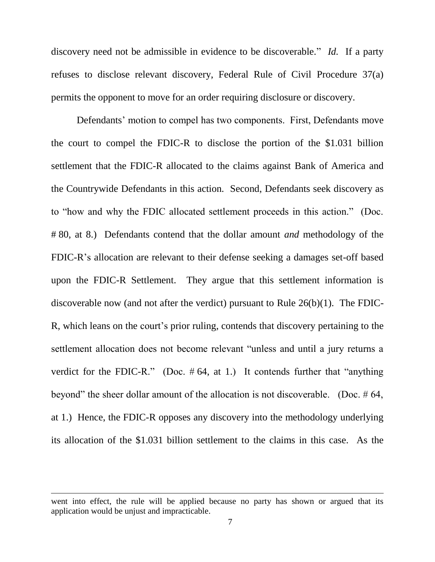discovery need not be admissible in evidence to be discoverable." *Id.* If a party refuses to disclose relevant discovery, Federal Rule of Civil Procedure 37(a) permits the opponent to move for an order requiring disclosure or discovery.

Defendants' motion to compel has two components. First, Defendants move the court to compel the FDIC-R to disclose the portion of the \$1.031 billion settlement that the FDIC-R allocated to the claims against Bank of America and the Countrywide Defendants in this action. Second, Defendants seek discovery as to "how and why the FDIC allocated settlement proceeds in this action." (Doc. # 80, at 8.) Defendants contend that the dollar amount *and* methodology of the FDIC-R's allocation are relevant to their defense seeking a damages set-off based upon the FDIC-R Settlement. They argue that this settlement information is discoverable now (and not after the verdict) pursuant to Rule 26(b)(1). The FDIC-R, which leans on the court's prior ruling, contends that discovery pertaining to the settlement allocation does not become relevant "unless and until a jury returns a verdict for the FDIC-R." (Doc.  $#64$ , at 1.) It contends further that "anything beyond" the sheer dollar amount of the allocation is not discoverable. (Doc. # 64, at 1.) Hence, the FDIC-R opposes any discovery into the methodology underlying its allocation of the \$1.031 billion settlement to the claims in this case. As the

 $\overline{a}$ 

went into effect, the rule will be applied because no party has shown or argued that its application would be unjust and impracticable.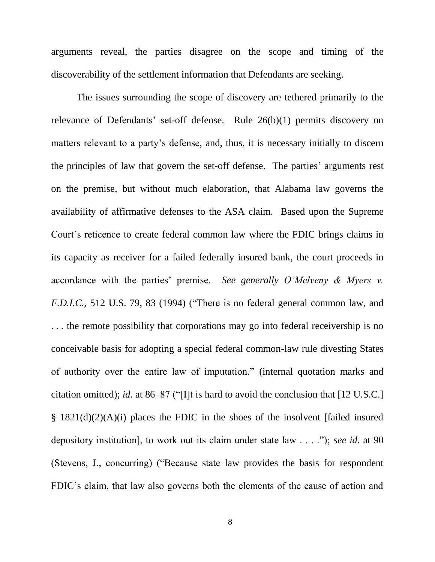arguments reveal, the parties disagree on the scope and timing of the discoverability of the settlement information that Defendants are seeking.

The issues surrounding the scope of discovery are tethered primarily to the relevance of Defendants' set-off defense. Rule 26(b)(1) permits discovery on matters relevant to a party's defense, and, thus, it is necessary initially to discern the principles of law that govern the set-off defense. The parties' arguments rest on the premise, but without much elaboration, that Alabama law governs the availability of affirmative defenses to the ASA claim. Based upon the Supreme Court's reticence to create federal common law where the FDIC brings claims in its capacity as receiver for a failed federally insured bank, the court proceeds in accordance with the parties' premise. *See generally O'Melveny & Myers v. F.D.I.C.*, 512 U.S. 79, 83 (1994) ("There is no federal general common law, and . . . the remote possibility that corporations may go into federal receivership is no conceivable basis for adopting a special federal common-law rule divesting States of authority over the entire law of imputation." (internal quotation marks and citation omitted); *id.* at 86–87 ("[I]t is hard to avoid the conclusion that [12 U.S.C.] § 1821(d)(2)(A)(i) places the FDIC in the shoes of the insolvent [failed insured depository institution], to work out its claim under state law . . . ."); *see id.* at 90 (Stevens, J., concurring) ("Because state law provides the basis for respondent FDIC's claim, that law also governs both the elements of the cause of action and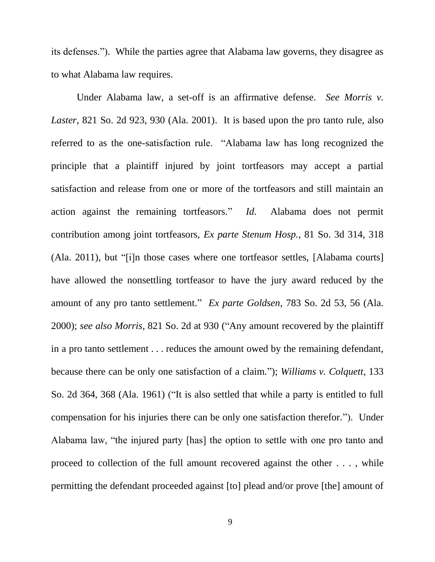its defenses."). While the parties agree that Alabama law governs, they disagree as to what Alabama law requires.

Under Alabama law, a set-off is an affirmative defense. *See Morris v. Laster*, 821 So. 2d 923, 930 (Ala. 2001). It is based upon the pro tanto rule, also referred to as the one-satisfaction rule. "Alabama law has long recognized the principle that a plaintiff injured by joint tortfeasors may accept a partial satisfaction and release from one or more of the tortfeasors and still maintain an action against the remaining tortfeasors." *Id.* Alabama does not permit contribution among joint tortfeasors, *Ex parte Stenum Hosp.*, 81 So. 3d 314, 318 (Ala. 2011), but "[i]n those cases where one tortfeasor settles, [Alabama courts] have allowed the nonsettling tortfeasor to have the jury award reduced by the amount of any pro tanto settlement." *Ex parte Goldsen*, 783 So. 2d 53, 56 (Ala. 2000); *see also Morris*, 821 So. 2d at 930 ("Any amount recovered by the plaintiff in a pro tanto settlement . . . reduces the amount owed by the remaining defendant, because there can be only one satisfaction of a claim."); *Williams v. Colquett*, 133 So. 2d 364, 368 (Ala. 1961) ("It is also settled that while a party is entitled to full compensation for his injuries there can be only one satisfaction therefor."). Under Alabama law, "the injured party [has] the option to settle with one pro tanto and proceed to collection of the full amount recovered against the other . . . , while permitting the defendant proceeded against [to] plead and/or prove [the] amount of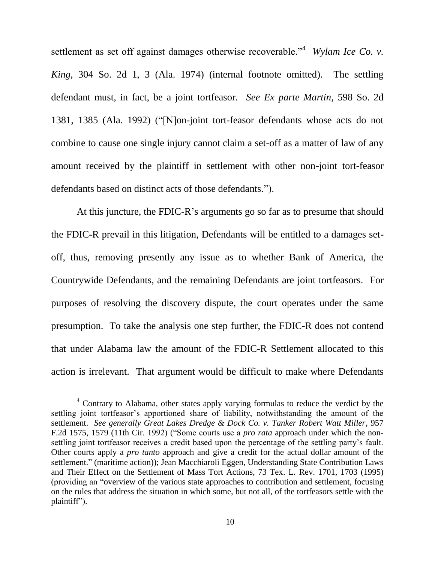settlement as set off against damages otherwise recoverable."<sup>4</sup> Wylam Ice Co. v. *King*, 304 So. 2d 1, 3 (Ala. 1974) (internal footnote omitted). The settling defendant must, in fact, be a joint tortfeasor. *See Ex parte Martin*, 598 So. 2d 1381, 1385 (Ala. 1992) ("[N]on-joint tort-feasor defendants whose acts do not combine to cause one single injury cannot claim a set-off as a matter of law of any amount received by the plaintiff in settlement with other non-joint tort-feasor defendants based on distinct acts of those defendants.").

At this juncture, the FDIC-R's arguments go so far as to presume that should the FDIC-R prevail in this litigation, Defendants will be entitled to a damages setoff, thus, removing presently any issue as to whether Bank of America, the Countrywide Defendants, and the remaining Defendants are joint tortfeasors. For purposes of resolving the discovery dispute, the court operates under the same presumption. To take the analysis one step further, the FDIC-R does not contend that under Alabama law the amount of the FDIC-R Settlement allocated to this action is irrelevant. That argument would be difficult to make where Defendants

 $\overline{\phantom{a}}$ 

<sup>4</sup> Contrary to Alabama, other states apply varying formulas to reduce the verdict by the settling joint tortfeasor's apportioned share of liability, notwithstanding the amount of the settlement. *See generally Great Lakes Dredge & Dock Co. v. Tanker Robert Watt Miller*, 957 F.2d 1575, 1579 (11th Cir. 1992) ("Some courts use a *pro rata* approach under which the nonsettling joint tortfeasor receives a credit based upon the percentage of the settling party's fault. Other courts apply a *pro tanto* approach and give a credit for the actual dollar amount of the settlement." (maritime action)); Jean Macchiaroli Eggen, Understanding State Contribution Laws and Their Effect on the Settlement of Mass Tort Actions, 73 Tex. L. Rev. 1701, 1703 (1995) (providing an "overview of the various state approaches to contribution and settlement, focusing on the rules that address the situation in which some, but not all, of the tortfeasors settle with the plaintiff").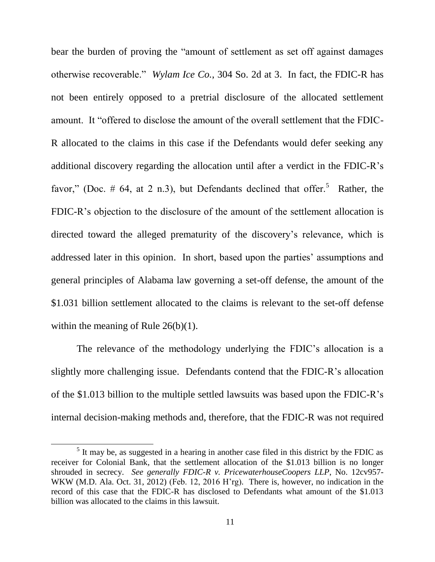bear the burden of proving the "amount of settlement as set off against damages otherwise recoverable." *Wylam Ice Co.*, 304 So. 2d at 3. In fact, the FDIC-R has not been entirely opposed to a pretrial disclosure of the allocated settlement amount. It "offered to disclose the amount of the overall settlement that the FDIC-R allocated to the claims in this case if the Defendants would defer seeking any additional discovery regarding the allocation until after a verdict in the FDIC-R's favor," (Doc.  $\#$  64, at 2 n.3), but Defendants declined that offer.<sup>5</sup> Rather, the FDIC-R's objection to the disclosure of the amount of the settlement allocation is directed toward the alleged prematurity of the discovery's relevance, which is addressed later in this opinion. In short, based upon the parties' assumptions and general principles of Alabama law governing a set-off defense, the amount of the \$1.031 billion settlement allocated to the claims is relevant to the set-off defense within the meaning of Rule 26(b)(1).

The relevance of the methodology underlying the FDIC's allocation is a slightly more challenging issue. Defendants contend that the FDIC-R's allocation of the \$1.013 billion to the multiple settled lawsuits was based upon the FDIC-R's internal decision-making methods and, therefore, that the FDIC-R was not required

 $\overline{\phantom{a}}$ 

 $<sup>5</sup>$  It may be, as suggested in a hearing in another case filed in this district by the FDIC as</sup> receiver for Colonial Bank, that the settlement allocation of the \$1.013 billion is no longer shrouded in secrecy. *See generally FDIC-R v. PricewaterhouseCoopers LLP*, No. 12cv957- WKW (M.D. Ala. Oct. 31, 2012) (Feb. 12, 2016 H'rg). There is, however, no indication in the record of this case that the FDIC-R has disclosed to Defendants what amount of the \$1.013 billion was allocated to the claims in this lawsuit.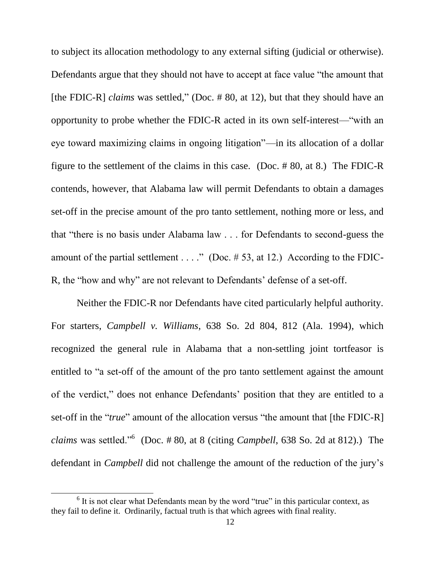to subject its allocation methodology to any external sifting (judicial or otherwise). Defendants argue that they should not have to accept at face value "the amount that [the FDIC-R] *claims* was settled," (Doc. #80, at 12), but that they should have an opportunity to probe whether the FDIC-R acted in its own self-interest—"with an eye toward maximizing claims in ongoing litigation"—in its allocation of a dollar figure to the settlement of the claims in this case. (Doc. # 80, at 8.) The FDIC-R contends, however, that Alabama law will permit Defendants to obtain a damages set-off in the precise amount of the pro tanto settlement, nothing more or less, and that "there is no basis under Alabama law . . . for Defendants to second-guess the amount of the partial settlement  $\dots$ ." (Doc. #53, at 12.) According to the FDIC-R, the "how and why" are not relevant to Defendants' defense of a set-off.

Neither the FDIC-R nor Defendants have cited particularly helpful authority. For starters, *Campbell v. Williams*, 638 So. 2d 804, 812 (Ala. 1994), which recognized the general rule in Alabama that a non-settling joint tortfeasor is entitled to "a set-off of the amount of the pro tanto settlement against the amount of the verdict," does not enhance Defendants' position that they are entitled to a set-off in the "*true*" amount of the allocation versus "the amount that [the FDIC-R] *claims* was settled."<sup>6</sup> (Doc. # 80, at 8 (citing *Campbell*, 638 So. 2d at 812).) The defendant in *Campbell* did not challenge the amount of the reduction of the jury's

 $\overline{\phantom{a}}$ 

 $6$  It is not clear what Defendants mean by the word "true" in this particular context, as they fail to define it. Ordinarily, factual truth is that which agrees with final reality.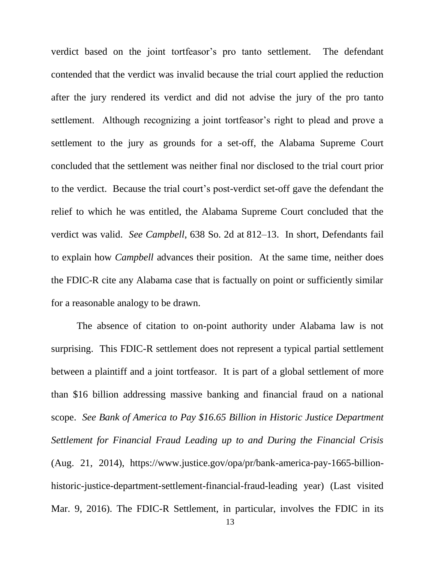verdict based on the joint tortfeasor's pro tanto settlement. The defendant contended that the verdict was invalid because the trial court applied the reduction after the jury rendered its verdict and did not advise the jury of the pro tanto settlement. Although recognizing a joint tortfeasor's right to plead and prove a settlement to the jury as grounds for a set-off, the Alabama Supreme Court concluded that the settlement was neither final nor disclosed to the trial court prior to the verdict. Because the trial court's post-verdict set-off gave the defendant the relief to which he was entitled, the Alabama Supreme Court concluded that the verdict was valid. *See Campbell*, 638 So. 2d at 812–13. In short, Defendants fail to explain how *Campbell* advances their position. At the same time, neither does the FDIC-R cite any Alabama case that is factually on point or sufficiently similar for a reasonable analogy to be drawn.

The absence of citation to on-point authority under Alabama law is not surprising. This FDIC-R settlement does not represent a typical partial settlement between a plaintiff and a joint tortfeasor. It is part of a global settlement of more than \$16 billion addressing massive banking and financial fraud on a national scope. *See Bank of America to Pay \$16.65 Billion in Historic Justice Department Settlement for Financial Fraud Leading up to and During the Financial Crisis* (Aug. 21, 2014), https://www.justice.gov/opa/pr/bank-america-pay-1665-billionhistoric-justice-department-settlement-financial-fraud-leading year) (Last visited Mar. 9, 2016). The FDIC-R Settlement, in particular, involves the FDIC in its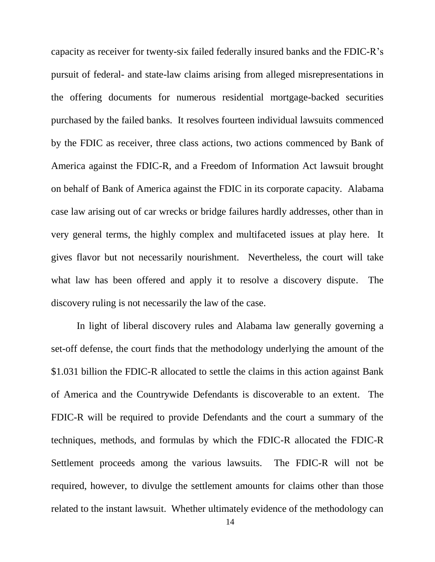capacity as receiver for twenty-six failed federally insured banks and the FDIC-R's pursuit of federal- and state-law claims arising from alleged misrepresentations in the offering documents for numerous residential mortgage-backed securities purchased by the failed banks. It resolves fourteen individual lawsuits commenced by the FDIC as receiver, three class actions, two actions commenced by Bank of America against the FDIC-R, and a Freedom of Information Act lawsuit brought on behalf of Bank of America against the FDIC in its corporate capacity. Alabama case law arising out of car wrecks or bridge failures hardly addresses, other than in very general terms, the highly complex and multifaceted issues at play here. It gives flavor but not necessarily nourishment. Nevertheless, the court will take what law has been offered and apply it to resolve a discovery dispute. The discovery ruling is not necessarily the law of the case.

In light of liberal discovery rules and Alabama law generally governing a set-off defense, the court finds that the methodology underlying the amount of the \$1.031 billion the FDIC-R allocated to settle the claims in this action against Bank of America and the Countrywide Defendants is discoverable to an extent. The FDIC-R will be required to provide Defendants and the court a summary of the techniques, methods, and formulas by which the FDIC-R allocated the FDIC-R Settlement proceeds among the various lawsuits. The FDIC-R will not be required, however, to divulge the settlement amounts for claims other than those related to the instant lawsuit. Whether ultimately evidence of the methodology can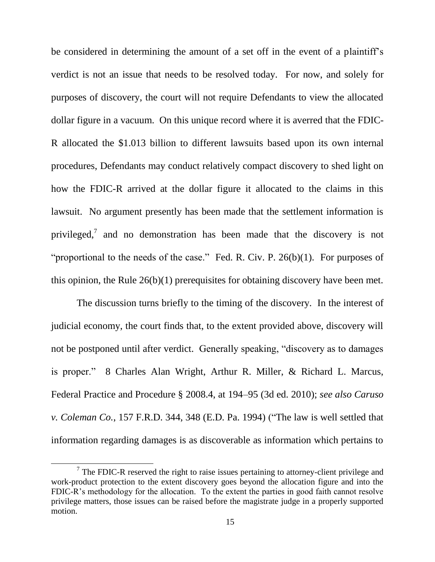be considered in determining the amount of a set off in the event of a plaintiff's verdict is not an issue that needs to be resolved today. For now, and solely for purposes of discovery, the court will not require Defendants to view the allocated dollar figure in a vacuum. On this unique record where it is averred that the FDIC-R allocated the \$1.013 billion to different lawsuits based upon its own internal procedures, Defendants may conduct relatively compact discovery to shed light on how the FDIC-R arrived at the dollar figure it allocated to the claims in this lawsuit. No argument presently has been made that the settlement information is privileged,<sup>7</sup> and no demonstration has been made that the discovery is not "proportional to the needs of the case." Fed. R. Civ. P.  $26(b)(1)$ . For purposes of this opinion, the Rule 26(b)(1) prerequisites for obtaining discovery have been met.

The discussion turns briefly to the timing of the discovery. In the interest of judicial economy, the court finds that, to the extent provided above, discovery will not be postponed until after verdict. Generally speaking, "discovery as to damages is proper." 8 Charles Alan Wright, Arthur R. Miller, & Richard L. Marcus, Federal Practice and Procedure § 2008.4, at 194–95 (3d ed. 2010); *see also Caruso v. Coleman Co.*, 157 F.R.D. 344, 348 (E.D. Pa. 1994) ("The law is well settled that information regarding damages is as discoverable as information which pertains to

l

 $7$  The FDIC-R reserved the right to raise issues pertaining to attorney-client privilege and work-product protection to the extent discovery goes beyond the allocation figure and into the FDIC-R's methodology for the allocation. To the extent the parties in good faith cannot resolve privilege matters, those issues can be raised before the magistrate judge in a properly supported motion.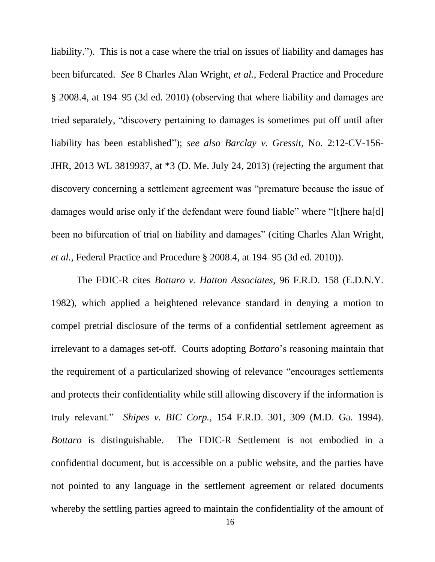liability."). This is not a case where the trial on issues of liability and damages has been bifurcated. *See* 8 Charles Alan Wright, *et al.*, Federal Practice and Procedure § 2008.4, at 194–95 (3d ed. 2010) (observing that where liability and damages are tried separately, "discovery pertaining to damages is sometimes put off until after liability has been established"); *see also Barclay v. Gressit*, No. 2:12-CV-156- JHR, 2013 WL 3819937, at \*3 (D. Me. July 24, 2013) (rejecting the argument that discovery concerning a settlement agreement was "premature because the issue of damages would arise only if the defendant were found liable" where "[t]here ha[d] been no bifurcation of trial on liability and damages" (citing Charles Alan Wright, *et al.*, Federal Practice and Procedure § 2008.4, at 194–95 (3d ed. 2010)).

The FDIC-R cites *Bottaro v. Hatton Associates*, 96 F.R.D. 158 (E.D.N.Y. 1982), which applied a heightened relevance standard in denying a motion to compel pretrial disclosure of the terms of a confidential settlement agreement as irrelevant to a damages set-off. Courts adopting *Bottaro*'s reasoning maintain that the requirement of a particularized showing of relevance "encourages settlements and protects their confidentiality while still allowing discovery if the information is truly relevant." *Shipes v. BIC Corp.*, 154 F.R.D. 301, 309 (M.D. Ga. 1994). *Bottaro* is distinguishable. The FDIC-R Settlement is not embodied in a confidential document, but is accessible on a public website, and the parties have not pointed to any language in the settlement agreement or related documents whereby the settling parties agreed to maintain the confidentiality of the amount of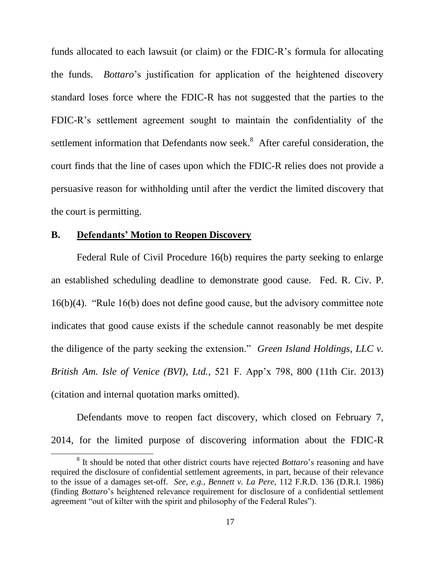funds allocated to each lawsuit (or claim) or the FDIC-R's formula for allocating the funds. *Bottaro*'s justification for application of the heightened discovery standard loses force where the FDIC-R has not suggested that the parties to the FDIC-R's settlement agreement sought to maintain the confidentiality of the settlement information that Defendants now seek.<sup>8</sup> After careful consideration, the court finds that the line of cases upon which the FDIC-R relies does not provide a persuasive reason for withholding until after the verdict the limited discovery that the court is permitting.

# **B. Defendants' Motion to Reopen Discovery**

 $\overline{\phantom{a}}$ 

Federal Rule of Civil Procedure 16(b) requires the party seeking to enlarge an established scheduling deadline to demonstrate good cause. Fed. R. Civ. P. 16(b)(4). "Rule 16(b) does not define good cause, but the advisory committee note indicates that good cause exists if the schedule cannot reasonably be met despite the diligence of the party seeking the extension." *Green Island Holdings, LLC v. British Am. Isle of Venice (BVI), Ltd.*, 521 F. App'x 798, 800 (11th Cir. 2013) (citation and internal quotation marks omitted).

Defendants move to reopen fact discovery, which closed on February 7, 2014, for the limited purpose of discovering information about the FDIC-R

<sup>&</sup>lt;sup>8</sup> It should be noted that other district courts have rejected *Bottaro*'s reasoning and have required the disclosure of confidential settlement agreements, in part, because of their relevance to the issue of a damages set-off. *See, e.g., Bennett v. La Pere*, 112 F.R.D. 136 (D.R.I. 1986) (finding *Bottaro*'s heightened relevance requirement for disclosure of a confidential settlement agreement "out of kilter with the spirit and philosophy of the Federal Rules").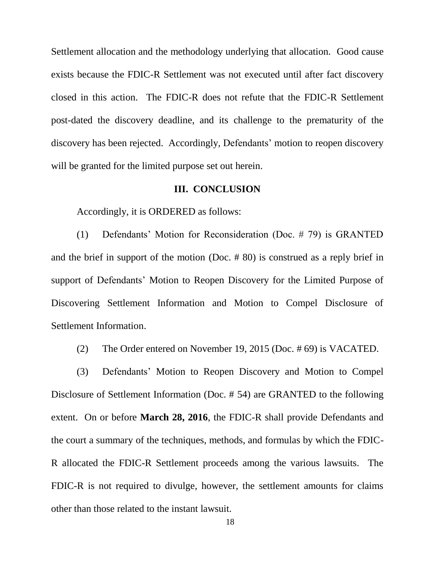Settlement allocation and the methodology underlying that allocation. Good cause exists because the FDIC-R Settlement was not executed until after fact discovery closed in this action. The FDIC-R does not refute that the FDIC-R Settlement post-dated the discovery deadline, and its challenge to the prematurity of the discovery has been rejected. Accordingly, Defendants' motion to reopen discovery will be granted for the limited purpose set out herein.

### **III. CONCLUSION**

Accordingly, it is ORDERED as follows:

(1) Defendants' Motion for Reconsideration (Doc. # 79) is GRANTED and the brief in support of the motion (Doc. # 80) is construed as a reply brief in support of Defendants' Motion to Reopen Discovery for the Limited Purpose of Discovering Settlement Information and Motion to Compel Disclosure of Settlement Information.

(2) The Order entered on November 19, 2015 (Doc. # 69) is VACATED.

(3) Defendants' Motion to Reopen Discovery and Motion to Compel Disclosure of Settlement Information (Doc. # 54) are GRANTED to the following extent. On or before **March 28, 2016**, the FDIC-R shall provide Defendants and the court a summary of the techniques, methods, and formulas by which the FDIC-R allocated the FDIC-R Settlement proceeds among the various lawsuits. The FDIC-R is not required to divulge, however, the settlement amounts for claims other than those related to the instant lawsuit.